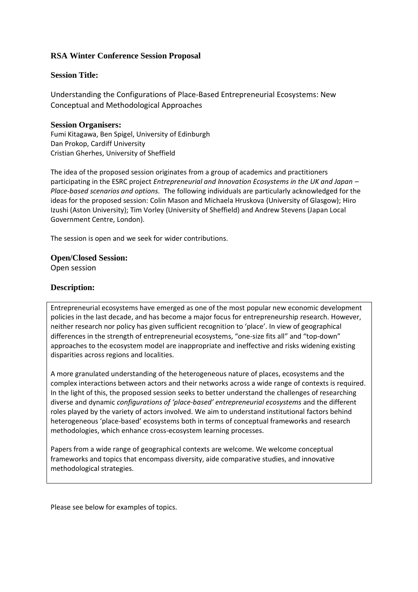# **RSA Winter Conference Session Proposal**

### **Session Title:**

Understanding the Configurations of Place-Based Entrepreneurial Ecosystems: New Conceptual and Methodological Approaches

#### **Session Organisers:** Fumi Kitagawa, Ben Spigel, University of Edinburgh Dan Prokop, Cardiff University Cristian Gherhes, University of Sheffield

The idea of the proposed session originates from a group of academics and practitioners participating in the ESRC project *Entrepreneurial and Innovation Ecosystems in the UK and Japan – Place-based scenarios and options.* The following individuals are particularly acknowledged for the ideas for the proposed session: Colin Mason and Michaela Hruskova (University of Glasgow); Hiro Izushi (Aston University); Tim Vorley (University of Sheffield) and Andrew Stevens (Japan Local Government Centre, London).

The session is open and we seek for wider contributions.

# **Open/Closed Session:** Open session

## **Description:**

Entrepreneurial ecosystems have emerged as one of the most popular new economic development policies in the last decade, and has become a major focus for entrepreneurship research. However, neither research nor policy has given sufficient recognition to 'place'. In view of geographical differences in the strength of entrepreneurial ecosystems, "one-size fits all" and "top-down" approaches to the ecosystem model are inappropriate and ineffective and risks widening existing disparities across regions and localities.

A more granulated understanding of the heterogeneous nature of places, ecosystems and the complex interactions between actors and their networks across a wide range of contexts is required. In the light of this, the proposed session seeks to better understand the challenges of researching diverse and dynamic *configurations of 'place-based' entrepreneurial ecosystems* and the different roles played by the variety of actors involved. We aim to understand institutional factors behind heterogeneous 'place-based' ecosystems both in terms of conceptual frameworks and research methodologies, which enhance cross-ecosystem learning processes.

Papers from a wide range of geographical contexts are welcome. We welcome conceptual frameworks and topics that encompass diversity, aide comparative studies, and innovative methodological strategies.

Please see below for examples of topics.